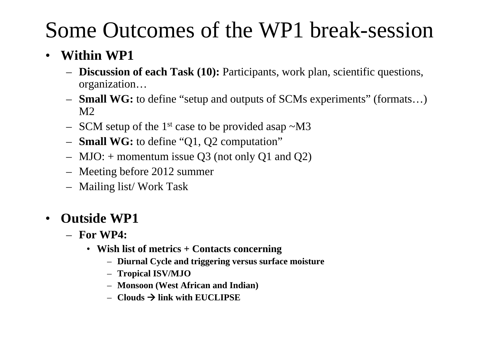# Some Outcomes of the WP1 break-session

#### •**Within WP1**

- **Discussion of each Task (10):** Participants, work plan, scientific questions, organization…
- **Small WG:** to define "setup and outputs of SCMs experiments" (formats…) M2
- SCM setup of the 1<sup>st</sup> case to be provided asap  $\sim$ M3
- **Small WG:** to define "Q1, Q2 computation"
- MJO: + momentum issue Q3 (not only Q1 and Q2)
- Meeting before 2012 summer
- Mailing list/ Work Task

#### $\bullet$ **Outside WP1**

- **For WP4:**
	- **Wish list of metrics + Contacts concerning**
		- **Diurnal Cycle and triggering versus surface moisture**
		- **Tropical ISV/MJO**
		- **Monsoon (West African and Indian)**
		- $-$  **Clouds**  $\rightarrow$  **link with EUCLIPSE**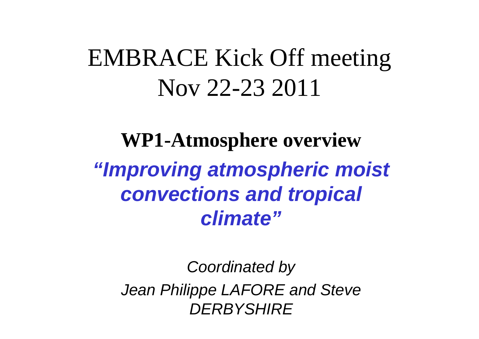# EMBRACE Kick Off meeting Nov 22-23 2011

**WP1-Atmosphere overview** *"Improving atmospheric moist convections and tropical climate"*

*Coordinated by Jean Philippe LAFORE and Steve DERBYSHIRE*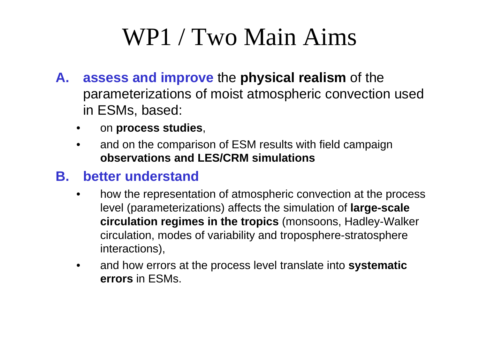# WP1 / Two Main Aims

- **A. assess and improve** the **physical realism** of the parameterizations of moist atmospheric convection used in ESMs, based:
	- •on **process studies**,
	- • and on the comparison of ESM results with field campaign **observations and LES/CRM simulations**

### **B. better understand**

- • how the representation of atmospheric convection at the process level (parameterizations) affects the simulation of **large-scale circulation regimes in the tropics** (monsoons, Hadley-Walker circulation, modes of variability and troposphere-stratosphere interactions),
- • and how errors at the process level translate into **systematic errors** in ESMs.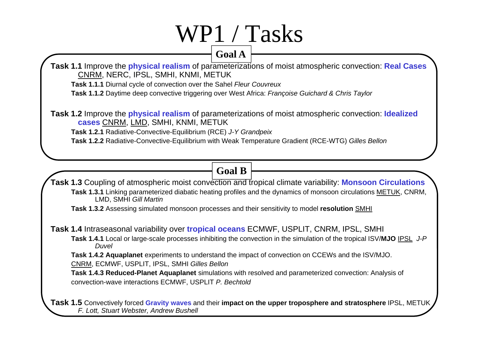# WP1 / Tasks

#### **Goal A**

**Task 1.1** Improve the **physical realism** of parameterizations of moist atmospheric convection: **Real Cases** CNRM, NERC, IPSL, SMHI, KNMI, METUK

**Task 1.1.1** Diurnal cycle of convection over the Sahel *Fleur Couvreux*

**Task 1.1.2** Daytime deep convective triggering over West Africa: *Françoise Guichard & Chris Taylor*

**Task 1.2** Improve the **physical realism** of parameterizations of moist atmospheric convection: **Idealized cases** CNRM, LMD, SMHI, KNMI, METUK

**Task 1.2.1** Radiative-Convective-Equilibrium (RCE) *J-Y Grandpeix*

**Task 1.2.2** Radiative-Convective-Equilibrium with Weak Temperature Gradient (RCE-WTG) *Gilles Bellon*

### **Goal B**

**Task 1.3** Coupling of atmospheric moist convection and tropical climate variability: **Monsoon Circulations Task 1.3.1** Linking parameterized diabatic heating profiles and the dynamics of monsoon circulations METUK, CNRM, LMD, SMHI *Gill Martin*

**Task 1.3.2** Assessing simulated monsoon processes and their sensitivity to model **resolution** SMHI

**Task 1.4** Intraseasonal variability over **tropical oceans** ECMWF, USPLIT, CNRM, IPSL, SMHI

**Task 1.4.1** Local or large-scale processes inhibiting the convection in the simulation of the tropical ISV/**MJO** IPSL *J-P Duvel*

**Task 1.4.2 Aquaplanet** experiments to understand the impact of convection on CCEWs and the ISV/MJO. CNRM, ECMWF, USPLIT, IPSL, SMHI *Gilles Bellon*

**Task 1.4.3 Reduced-Planet Aquaplanet** simulations with resolved and parameterized convection: Analysis of convection-wave interactions ECMWF, USPLIT *P. Bechtold*

**Task 1.5** Convectively forced **Gravity waves** and their **impact on the upper troposphere and stratosphere** IPSL, METUK *F. Lott, Stuart Webster, Andrew Bushell*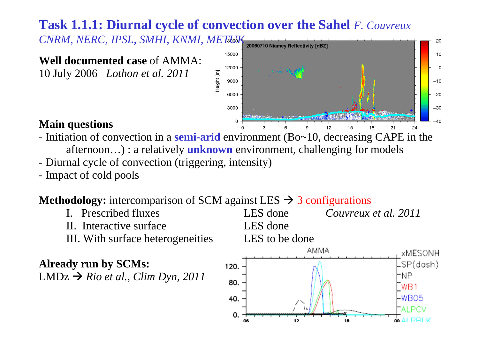## **Task 1.1.1: Diurnal cycle of convection over the Sahel** *F. Couvreux*

CNRM, NERC, IPSL, SMHI, KNMI, METHOLK

#### **Well documented case** of AMMA:

10 July 2006 *Lothon et al. 2011*



**O ALPRIK** 

#### **Main questions**

- Initiation of convection in a **semi-arid** environment (Bo~10, decreasing CAPE in the afternoon…) : a relatively **unknown** environment, challenging for models
- -Diurnal cycle of convection (triggering, intensity)
- -Impact of cold pools

### **Methodology:** intercomparison of SCM against LES  $\rightarrow$  3 configurations



 $12$ 

0.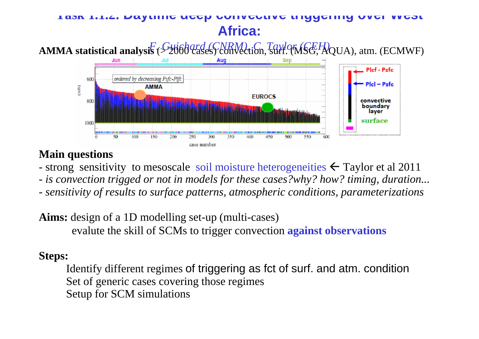### **Task 1.1.2: Daytime deep convective triggering over West Africa:**

# *F. Guichard (CNRM), C. Taylor (CEH)* **AMMA statistical analysis** (> 2000 cases) convection, surf. (MSG, AQUA), atm. (ECMWF)



#### **Main questions**

- strong sensitivity to mesoscale soil moisture heterogeneities  $\leftarrow$  Taylor et al 2011
- *is convection trigged or not in models for these cases?why? how? timing, duration...*
- *- sensitivity of results to surface patterns, atmospheric conditions, parameterizations*

**Aims:** design of a 1D modelling set-up (multi-cases) evalute the skill of SCMs to trigger convection **against observations**

#### **Steps:**

Identify different regimes of triggering as fct of surf. and atm. condition Set of generic cases covering those regimes Setup for SCM simulations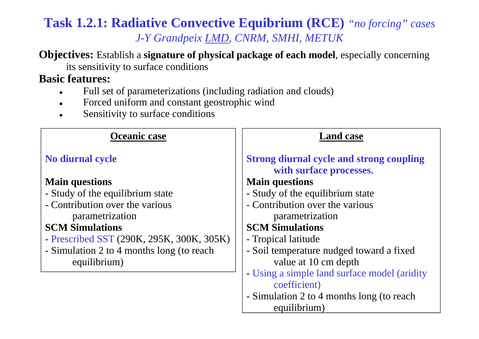### **Task 1.2.1: Radiative Convective Equibrium (RCE)** *"no forcing" cases J-Y Grandpeix LMD, CNRM, SMHI, METUK*

**Objectives:** Establish a **signature of physical package of each model**, especially concerning its sensitivity to surface conditions

#### **Basic features:**

- $\bullet$ Full set of parameterizations (including radiation and clouds)
- $\bullet$ Forced uniform and constant geostrophic wind
- $\bullet$ Sensitivity to surface conditions

| Oceanic case                              | <b>Land case</b>                                                           |
|-------------------------------------------|----------------------------------------------------------------------------|
| <b>No diurnal cycle</b>                   | <b>Strong diurnal cycle and strong coupling</b><br>with surface processes. |
| <b>Main questions</b>                     | <b>Main questions</b>                                                      |
| - Study of the equilibrium state          | - Study of the equilibrium state                                           |
| - Contribution over the various           | - Contribution over the various                                            |
| parametrization                           | parametrization                                                            |
| <b>SCM Simulations</b>                    | <b>SCM Simulations</b>                                                     |
| - Prescribed SST (290K, 295K, 300K, 305K) | - Tropical latitude                                                        |
| - Simulation 2 to 4 months long (to reach | - Soil temperature nudged toward a fixed                                   |
| equilibrium)                              | value at 10 cm depth                                                       |
|                                           | - Using a simple land surface model (aridity                               |
|                                           | coefficient)                                                               |
|                                           | - Simulation 2 to 4 months long (to reach                                  |
|                                           | equilibrium)                                                               |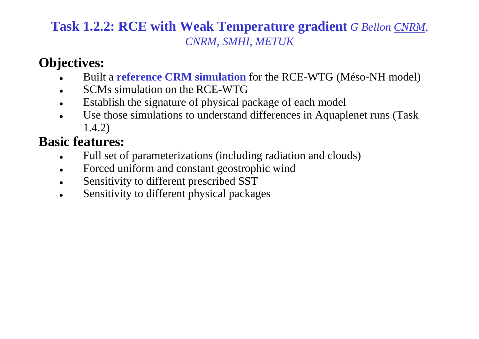### **Task 1.2.2: RCE with Weak Temperature gradient** *G Bellon CNRM, CNRM, SMHI, METUK*

## **Objectives:**

- 0 Built a **reference CRM simulation** for the RCE-WTG (Méso-NH model)
- 0 SCMs simulation on the RCE-WTG
- $\bullet$ Establish the signature of physical package of each model
- 0 Use those simulations to understand differences in Aquaplenet runs (Task 1.4.2)

## **Basic features:**

- $\bullet$ Full set of parameterizations (including radiation and clouds)
- $\bullet$ Forced uniform and constant geostrophic wind
- $\bullet$ Sensitivity to different prescribed SST
- $\bullet$ Sensitivity to different physical packages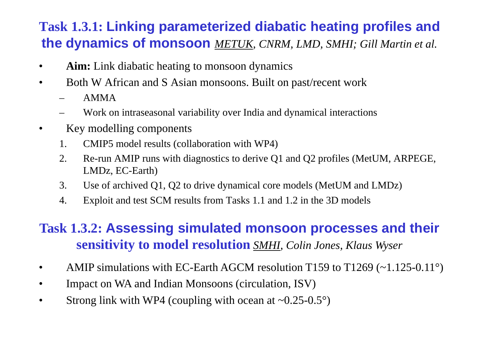## **Task 1.3.1: Linking parameterized diabatic heating profiles and the dynamics of monsoon** *METUK, CNRM, LMD, SMHI; Gill Martin et al.*

- •**Aim:** Link diabatic heating to monsoon dynamics
- • Both W African and S Asian monsoons. Built on past/recent work
	- AMMA
	- Work on intraseasonal variability over India and dynamical interactions
- • Key modelling components
	- 1. CMIP5 model results (collaboration with WP4)
	- 2. Re-run AMIP runs with diagnostics to derive Q1 and Q2 profiles (MetUM, ARPEGE, LMDz, EC-Earth)
	- 3. Use of archived Q1, Q2 to drive dynamical core models (MetUM and LMDz)
	- 4. Exploit and test SCM results from Tasks 1.1 and 1.2 in the 3D models

## **Task 1.3.2: Assessing simulated monsoon processes and their sensitivity to model resolution** *SMHI, Colin Jones, Klaus Wyser*

- •AMIP simulations with EC-Earth AGCM resolution T159 to T1269 (~1.125-0.11°)
- •Impact on WA and Indian Monsoons (circulation, ISV)
- •Strong link with WP4 (coupling with ocean at  $\sim 0.25 - 0.5^{\circ}$ )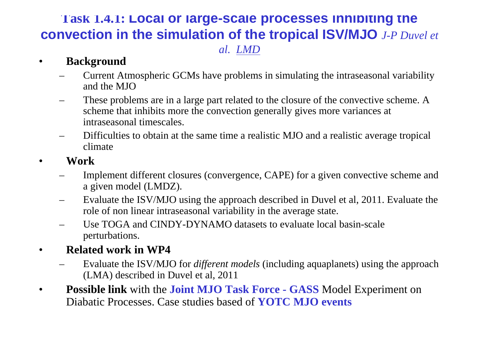### **Task 1.4.1: Local or large-scale processes inhibiting the convection in the simulation of the tropical ISV/MJO** *J-P Duvel et al. LMD*

#### •**Background**

- Current Atmospheric GCMs have problems in simulating the intraseasonal variability and the MJO
- – These problems are in a large part related to the closure of the convective scheme. A scheme that inhibits more the convection generally gives more variances at intraseasonal timescales.
- Difficulties to obtain at the same time a realistic MJO and a realistic average tropical climate
- • **Work**
	- Implement different closures (convergence, CAPE) for a given convective scheme and a given model (LMDZ).
	- Evaluate the ISV/MJO using the approach described in Duvel et al, 2011. Evaluate the role of non linear intraseasonal variability in the average state.
	- Use TOGA and CINDY-DYNAMO datasets to evaluate local basin-scale perturbations.
- • **Related work in WP4**
	- Evaluate the ISV/MJO for *different models* (including aquaplanets) using the approach (LMA) described in Duvel et al, 2011
- • **Possible link** with the **Joint MJO Task Force - GASS** Model Experiment on Diabatic Processes. Case studies based of **YOTC MJO events**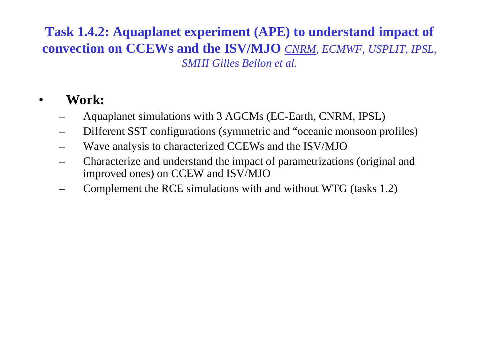### **Task 1.4.2: Aquaplanet experiment (APE) to understand impact of convection on CCEWs and the ISV/MJO** *CNRM, ECMWF, USPLIT, IPSL, SMHI Gilles Bellon et al.*

#### •**Work:**

- Aquaplanet simulations with 3 AGCMs (EC-Earth, CNRM, IPSL)
- Different SST configurations (symmetric and "oceanic monsoon profiles)
- –Wave analysis to characterized CCEWs and the ISV/MJO
- Characterize and understand the impact of parametrizations (original and improved ones) on CCEW and ISV/MJO
- Complement the RCE simulations with and without WTG (tasks 1.2)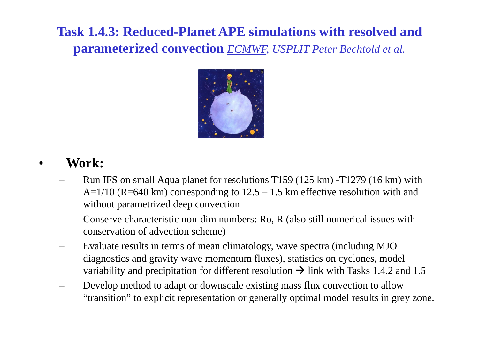## **Task 1.4.3: Reduced-Planet APE simulations with resolved and parameterized convection** *ECMWF, USPLIT Peter Bechtold et al.*



#### •**Work:**

- Run IFS on small Aqua planet for resolutions T159 (125 km) -T1279 (16 km) with  $A=1/10$  (R=640 km) corresponding to  $12.5 - 1.5$  km effective resolution with and without parametrized deep convection
- Conserve characteristic non-dim numbers: Ro, R (also still numerical issues with conservation of advection scheme)
- – Evaluate results in terms of mean climatology, wave spectra (including MJO diagnostics and gravity wave momentum fluxes), statistics on cyclones, model variability and precipitation for different resolution  $\rightarrow$  link with Tasks 1.4.2 and 1.5
- – Develop method to adapt or downscale existing mass flux convection to allow "transition" to explicit representation or generally optimal model results in grey zone.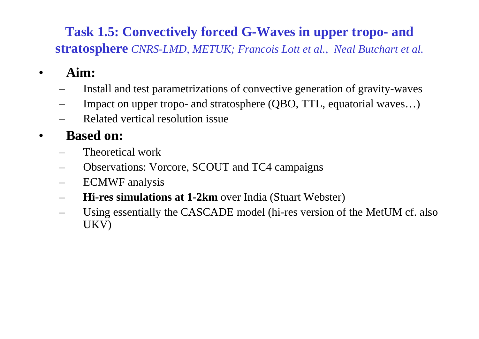### **Task 1.5: Convectively forced G-Waves in upper tropo- and stratosphere** *CNRS-LMD, METUK; Francois Lott et al., Neal Butchart et al.*

- • **Aim:**
	- Install and test parametrizations of convective generation of gravity-waves
	- Impact on upper tropo- and stratosphere (QBO, TTL, equatorial waves…)
	- Related vertical resolution issue

#### •**Based on:**

- Theoretical work
- Observations: Vorcore, SCOUT and TC4 campaigns
- –ECMWF analysis
- **Hi-res simulations at 1-2km** over India (Stuart Webster)
- Using essentially the CASCADE model (hi-res version of the MetUM cf. also UKV)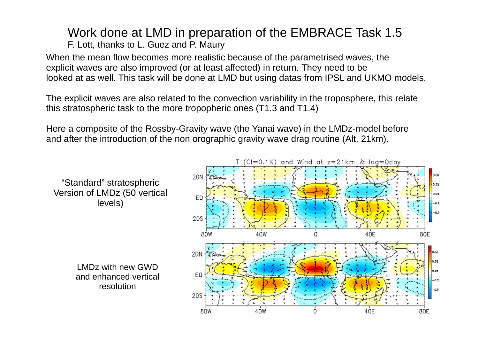#### Work done at LMD in preparation of the EMBRACE Task 1.5 F. Lott, thanks to L. Guez and P. Maury

When the mean flow becomes more realistic because of the parametrised waves, the explicit waves are also improved (or at least affected) in return. They need to be looked at as well. This task will be done at LMD but using datas from IPSL and UKMO models.

The explicit waves are also related to the convection variability in the troposphere, this relate this stratospheric task to the more tropopheric ones (T1.3 and T1.4)

Here a composite of the Rossby-Gravity wave (the Yanai wave) in the LMDz-model before and after the introduction of the non orographic gravity wave drag routine (Alt. 21km).

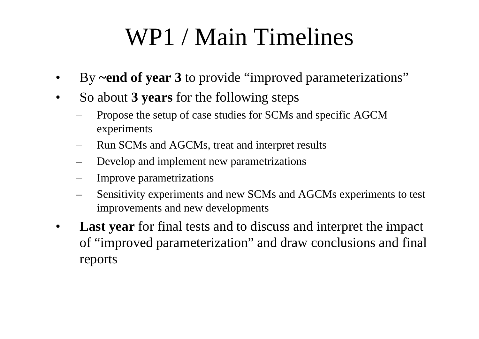# WP1 / Main Timelines

- •By **~end of year 3** to provide "improved parameterizations"
- • So about **3 years** for the following steps
	- Propose the setup of case studies for SCMs and specific AGCM experiments
	- Run SCMs and AGCMs, treat and interpret results
	- Develop and implement new parametrizations
	- Improve parametrizations
	- Sensitivity experiments and new SCMs and AGCMs experiments to test improvements and new developments
- • **Last year** for final tests and to discuss and interpret the impact of "improved parameterization" and draw conclusions and final reports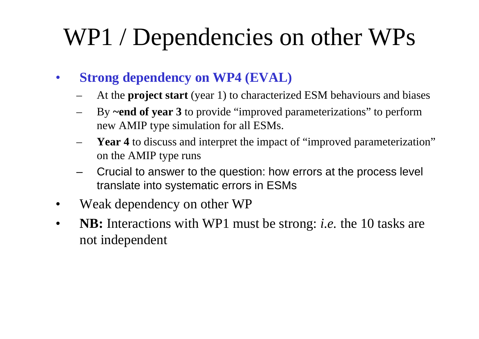# WP1 / Dependencies on other WPs

- • **Strong dependency on WP4 (EVAL)**
	- At the **project start** (year 1) to characterized ESM behaviours and biases
	- By **~end of year 3** to provide "improved parameterizations" to perform new AMIP type simulation for all ESMs.
	- **Year 4** to discuss and interpret the impact of "improved parameterization" on the AMIP type runs
	- – Crucial to answer to the question: how errors at the process level translate into systematic errors in ESMs
- •Weak dependency on other WP
- • **NB:** Interactions with WP1 must be strong: *i.e.* the 10 tasks are not independent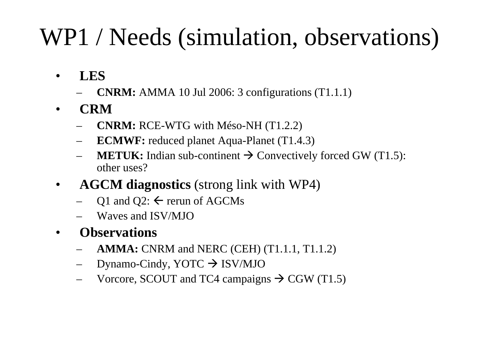# WP1 / Needs (simulation, observations)

- $\bullet$  **LES**
	- **CNRM:** AMMA 10 Jul 2006: 3 configurations (T1.1.1)
- • **CRM**
	- **CNRM:** RCE-WTG with Méso-NH (T1.2.2)
	- **ECMWF:** reduced planet Aqua-Planet (T1.4.3)
	- **METUK:** Indian sub-continent  $\rightarrow$  Convectively forced GW (T1.5): other uses?
- • **AGCM diagnostics** (strong link with WP4)
	- Q1 and Q2:  $\leftarrow$  rerun of AGCMs
	- Waves and ISV/MJO
- • **Observations**
	- **AMMA:** CNRM and NERC (CEH) (T1.1.1, T1.1.2)
	- –Dynamo-Cindy, YOTC ISV/MJO
	- Vorcore, SCOUT and TC4 campaigns  $\rightarrow$  CGW (T1.5)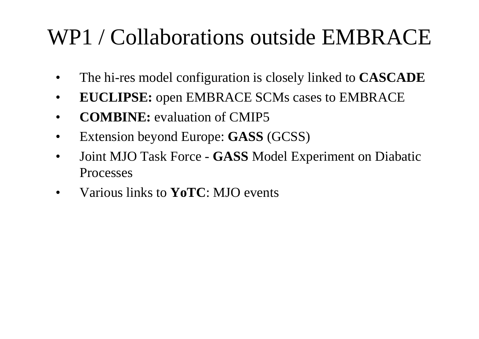# WP1 / Collaborations outside EMBRACE

- •The hi-res model configuration is closely linked to **CASCADE**
- •**EUCLIPSE:** open EMBRACE SCMs cases to EMBRACE
- •**COMBINE:** evaluation of CMIP5
- •Extension beyond Europe: **GASS** (GCSS)
- $\bullet$  Joint MJO Task Force - **GASS** Model Experiment on Diabatic Processes
- •Various links to **YoTC**: MJO events